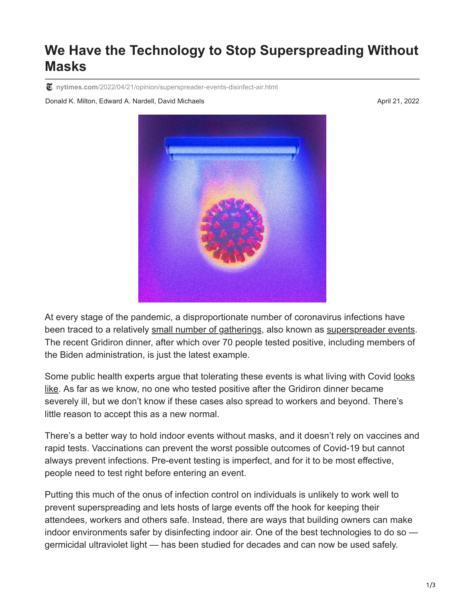## **We Have the Technology to Stop Superspreading Without Masks**

**nytimes.com**[/2022/04/21/opinion/superspreader-events-disinfect-air.html](https://www.nytimes.com/2022/04/21/opinion/superspreader-events-disinfect-air.html)

Donald K. Milton, Edward A. Nardell, David Michaels April 21, 2022

At every stage of the pandemic, a disproportionate number of coronavirus infections have been traced to a relatively [small number of gatherings](https://doi.org/10.3201/eid2804.220006), also known as [superspreader events.](https://www.nytimes.com/2020/06/02/opinion/coronavirus-superspreaders.html) The recent Gridiron dinner, after which over 70 people tested positive, including members of the Biden administration, is just the latest example.

[Some public health experts argue that tolerating these events is what living with Covid looks](https://www.washingtonpost.com/opinions/2022/04/07/gridiron-club-covid-outbreak-super-spreader-shows-what-living-with-covid-looks-like/) like. As far as we know, no one who tested positive after the Gridiron dinner became severely ill, but we don't know if these cases also spread to workers and beyond. There's little reason to accept this as a new normal.

There's a better way to hold indoor events without masks, and it doesn't rely on vaccines and rapid tests. Vaccinations can prevent the worst possible outcomes of Covid-19 but cannot always prevent infections. Pre-event testing is imperfect, and for it to be most effective, people need to test right before entering an event.

Putting this much of the onus of infection control on individuals is unlikely to work well to prevent superspreading and lets hosts of large events off the hook for keeping their attendees, workers and others safe. Instead, there are ways that building owners can make indoor environments safer by disinfecting indoor air. One of the best technologies to do so germicidal ultraviolet light — has been studied for decades and can now be used safely.

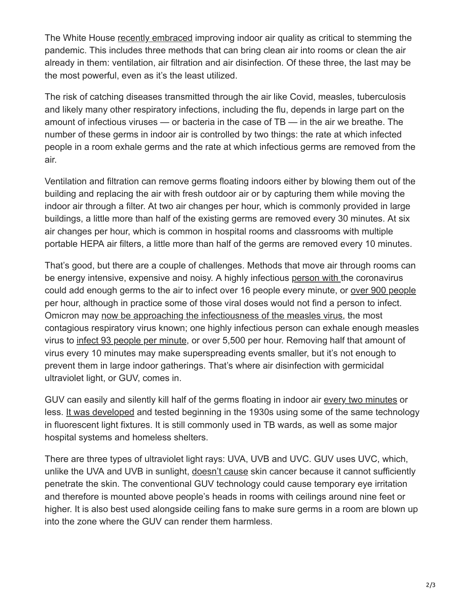The White House [recently embraced](https://www.whitehouse.gov/ostp/news-updates/2022/03/23/lets-clear-the-air-on-covid/) improving indoor air quality as critical to stemming the pandemic. This includes three methods that can bring clean air into rooms or clean the air already in them: ventilation, air filtration and air disinfection. Of these three, the last may be the most powerful, even as it's the least utilized.

The risk of catching diseases transmitted through the air like Covid, measles, tuberculosis and likely many other respiratory infections, including the flu, depends in large part on the amount of infectious viruses — or bacteria in the case of TB — in the air we breathe. The number of these germs in indoor air is controlled by two things: the rate at which infected people in a room exhale germs and the rate at which infectious germs are removed from the air.

Ventilation and filtration can remove germs floating indoors either by blowing them out of the building and replacing the air with fresh outdoor air or by capturing them while moving the indoor air through a filter. At two air changes per hour, which is commonly provided in large buildings, a little more than half of the existing germs are removed every 30 minutes. At six air changes per hour, which is common in hospital rooms and classrooms with multiple portable HEPA air filters, a little more than half of the germs are removed every 10 minutes.

That's good, but there are a couple of challenges. Methods that move air through rooms can be energy intensive, expensive and noisy. A highly infectious [person with t](https://academic.oup.com/cid/advance-article/doi/10.1093/cid/ciab797/6370149)he coronavirus could add enough germs to the air to infect over 16 people every minute, or [over 900 people](https://onlinelibrary.wiley.com/doi/10.1111/ina.12751) per hour, although in practice some of those viral doses would not find a person to infect. Omicron may [now be approaching the infectiousness of the measles virus,](https://doi.org/10.1002/jmv.27560) the most contagious respiratory virus known; one highly infectious person can exhale enough measles virus to [infect 93 people per minute,](https://doi.org/10.1093/oxfordjournals.aje.a112560) or over 5,500 per hour. Removing half that amount of virus every 10 minutes may make superspreading events smaller, but it's not enough to prevent them in large indoor gatherings. That's where air disinfection with germicidal ultraviolet light, or GUV, comes in.

GUV can easily and silently kill half of the germs floating in indoor air [every two minutes](https://doi.org/10.1371/journal.pone.0003186) or less. [It was developed](https://www.ncbi.nlm.nih.gov/pmc/articles/PMC1529255/) and tested beginning in the 1930s using some of the same technology in fluorescent light fixtures. It is still commonly used in TB wards, as well as some major hospital systems and homeless shelters.

There are three types of ultraviolet light rays: UVA, UVB and UVC. GUV uses UVC, which, unlike the UVA and UVB in sunlight, [doesn't cause](https://www.fda.gov/radiation-emitting-products/tanning/ultraviolet-uv-radiation) skin cancer because it cannot sufficiently penetrate the skin. The conventional GUV technology could cause temporary eye irritation and therefore is mounted above people's heads in rooms with ceilings around nine feet or higher. It is also best used alongside ceiling fans to make sure germs in a room are blown up into the zone where the GUV can render them harmless.